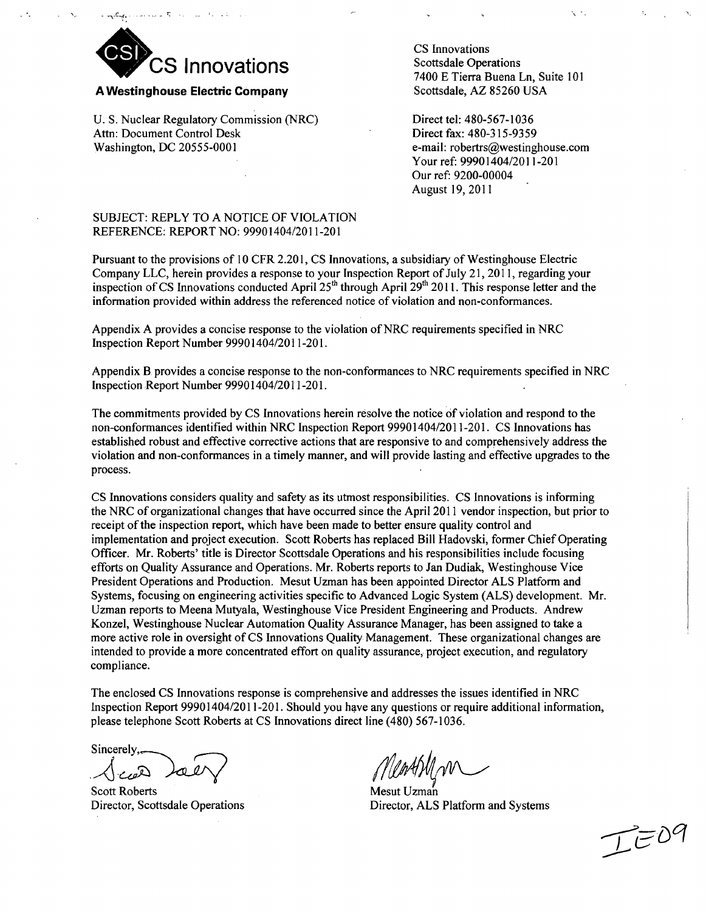

#### A Westinghouse Electric Company

U. S. Nuclear Regulatory Commission (NRC) Attn: Document Control Desk Washington, DC 20555-0001

CS Innovations Scottsdale Operations 7400 E Tierra Buena Ln, Suite 101 Scottsdale, AZ 85260 USA

Direct tel: 480-567-1036 Direct fax: 480-315-9359 e-mail: robertrs@westinghouse.com Your ref: 99901404/2011-201 Our ref: 9200-00004 August 19, 2011

## SUBJECT: REPLY TO A NOTICE OF VIOLATION REFERENCE: REPORT NO: 99901404/2011-201

Pursuant to the provisions of 10 CFR 2.201, CS Innovations, a subsidiary of Westinghouse Electric Company LLC, herein provides a response to your Inspection Report of July 21, 2011, regarding your inspection of CS Innovations conducted April  $25<sup>th</sup>$  through April 29<sup>th</sup> 2011. This response letter and the information provided within address the referenced notice of violation and non-conformances.

Appendix A provides a concise response to the violation of NRC requirements specified in NRC Inspection Report Number 99901404/2011-201.

Appendix B provides a concise response to the non-conformances to NRC requirements specified in NRC Inspection Report Number 99901404/2011-201.

The commitments provided by CS Innovations herein resolve the notice of violation and respond to the non-conformances identified within NRC Inspection Report 99901404/2011-201. CS Innovations has established robust and effective corrective actions that are responsive to and comprehensively address the violation and non-conformances in a timely manner, and will provide lasting and effective upgrades to the process.

CS Innovations considers quality and safety as its utmost responsibilities. CS Innovations is informing the NRC of organizational changes that have occurred since the April 2011 vendor inspection, but prior to receipt of the inspection report, which have been made to better ensure quality control and implementation and project execution. Scott Roberts has replaced Bill Hadovski, former Chief Operating Officer. Mr. Roberts' title is Director Scottsdale Operations and his responsibilities include focusing efforts on Quality Assurance and Operations. Mr. Roberts reports to Jan Dudiak, Westinghouse Vice President Operations and Production. Mesut Uzman has been appointed Director ALS Platform and Systems, focusing on engineering activities specific to Advanced Logic System (ALS) development. Mr. Uzman reports to Meena Mutyala, Westinghouse Vice President Engineering and Products. Andrew Konzel, Westinghouse Nuclear Automation Quality Assurance Manager, has been assigned to take a more active role in oversight of CS Innovations Quality Management. These organizational changes are intended to provide a more concentrated effort on quality assurance, project execution, and regulatory compliance.

The enclosed CS Innovations response is comprehensive and addresses the issues identified in NRC Inspection Report 99901404/2011-201. Should you have any questions or require additional information, please telephone Scott Roberts at CS Innovations direct line (480) 567-1036.

Sincerely,

Scott Roberts Director, Scottsdale Operations

Mesut Uzman Director, **ALS** Platform and Systems

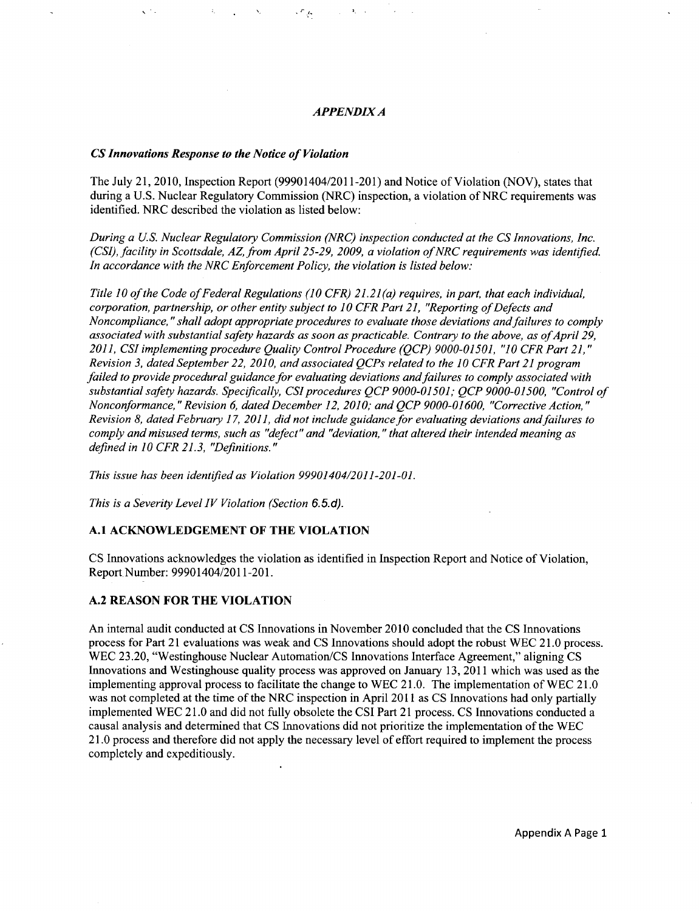#### *APPENDIX A*

 $\mathcal{L}_{\mathcal{A}}$ 

#### *CS Innovations Response to the Notice of Violation*

The July 21, 2010, Inspection Report (99901404/2011-201) and Notice of Violation (NOV), states that during a U.S. Nuclear Regulatory Commission (NRC) inspection, a violation of NRC requirements was identified. NRC described the violation as listed below:

*During a U.S. Nuclear Regulatory Commission (NRC) inspection conducted at the CS Innovations, Inc. (CSI), facility in Scottsdale, AZ, from April 25-29, 2009, a violation of NRC requirements was identified. In accordance with the NRC Enforcement Policy, the violation is listed below:*

*Title 10 of the Code of Federal Regulations (10 CFR) 21.21(a) requires, in part, that each individual, corporation, partnership, or other entity subject to 10 CFR Part 21, "Reporting of Defects and Noncompliance, "shall adopt appropriate procedures to evaluate those deviations and failures to comply associated with substantial safety hazards as soon as practicable. Contrary to the above, as of April 29, 2011, CSI implementing procedure Quality Control Procedure (QCP) 9000-01501, "10 CFR Part 21," Revision 3, dated September 22, 2010, and associated QCPs related to the 10 CFR Part 21 program failed to provide procedural guidance for evaluating deviations and failures to comply associated with substantial safety hazards. Specifically, CSI procedures QCP 9000-01501; QCP 9000-01500, "Control of Nonconformance," Revision 6, dated December 12, 2010; and QCP 9000-01600, "Corrective Action," Revision 8, dated February 17, 2011, did not include guidance for evaluating deviations and failures to comply and misused terms, such as "defect" and "deviation," that altered their intended meaning as defined in 10 CFR 21.3, "Definitions."*

*This issue has been identified as Violation 99901404/2011-201-01.*

*This is a Severity Level IV Violation (Section 6.5. d).*

#### **A.1 ACKNOWLEDGEMENT** OF THE **VIOLATION**

CS Innovations acknowledges the violation as identified in Inspection Report and Notice of Violation, Report Number: 99901404/2011-201.

#### **A.2 REASON** FOR THE **VIOLATION**

An internal audit conducted at CS Innovations in November 2010 concluded that the CS Innovations process for Part 21 evaluations was weak and CS Innovations should adopt the robust WEC 21.0 process. WEC 23.20, "Westinghouse Nuclear Automation/CS Innovations Interface Agreement," aligning CS Innovations and Westinghouse quality process was approved on January 13, 2011 which was used as the implementing approval process to facilitate the change to WEC 21.0. The implementation of WEC 21.0 was not completed at the time of the NRC inspection in April 2011 as CS Innovations had only partially implemented WEC 21.0 and did not fully obsolete the CSI Part 21 process. CS Innovations conducted a causal analysis and determined that CS Innovations did not prioritize the implementation of the WEC 21.0 process and therefore did not apply the necessary level of effort required to implement the process completely and expeditiously.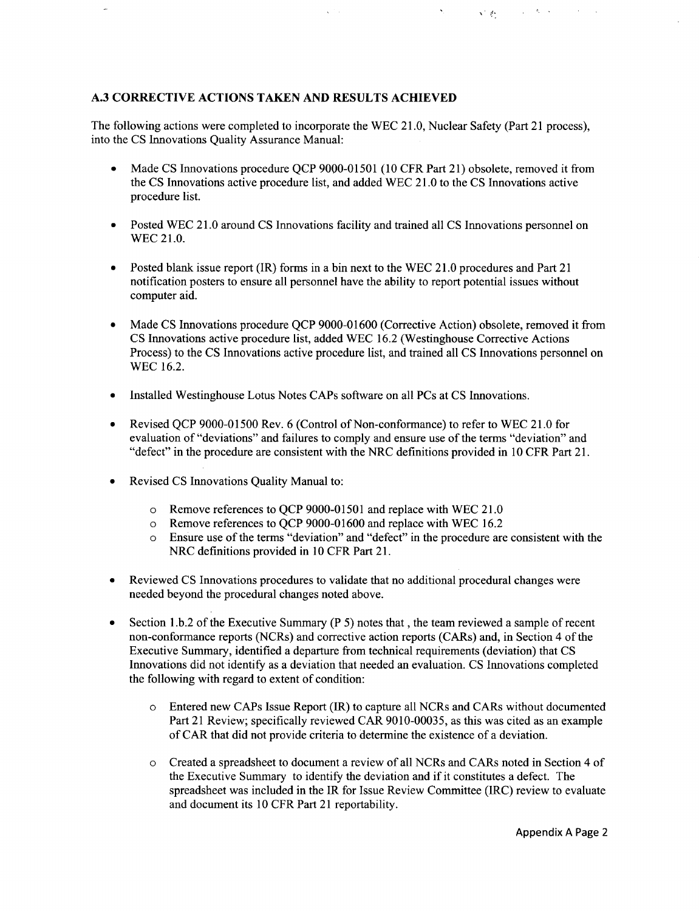# **A.3** CORRECTIVE **ACTIONS TAKEN AND RESULTS ACHIEVED**

The following actions were completed to incorporate the WEC 21.0, Nuclear Safety (Part 21 process), into the CS Innovations Quality Assurance Manual:

Made CS Innovations procedure QCP 9000-01501 (10 CFR Part 21) obsolete, removed it from the CS Innovations active procedure list, and added WEC 21.0 to the CS Innovations active procedure list.

'. **;,.**

 $A_2 \equiv A_1$ 

- Posted WEC 21.0 around CS Innovations facility and trained all CS Innovations personnel on WEC 21.0.
- Posted blank issue report (IR) forms in a bin next to the WEC 21.0 procedures and Part 21 notification posters to ensure all personnel have the ability to report potential issues without computer aid.
- Made CS Innovations procedure OCP 9000-01600 (Corrective Action) obsolete, removed it from CS Innovations active procedure list, added WEC 16.2 (Westinghouse Corrective Actions Process) to the CS Innovations active procedure list, and trained all CS Innovations personnel on WEC 16.2.
- Installed Westinghouse Lotus Notes CAPs software on all PCs at CS Innovations.
- **"** Revised QCP 9000-01500 Rev. 6 (Control of Non-conformance) to refer to WEC 21.0 for evaluation of "deviations" and failures to comply and ensure use of the terms "deviation" and "defect" in the procedure are consistent with the NRC definitions provided in 10 CFR Part 21.
- Revised CS Innovations Quality Manual to:
	- o Remove references to QCP 9000-01501 and replace with WEC 21.0
	- o Remove references to QCP 9000-01600 and replace with WEC 16.2
	- o Ensure use of the terms "deviation" and "defect" in the procedure are consistent with the NRC definitions provided in 10 CFR Part 21.
- Reviewed CS Innovations procedures to validate that no additional procedural changes were needed beyond the procedural changes noted above.
- **"** Section 1.b.2 of the Executive Summary (P 5) notes that, the team reviewed a sample of recent non-conformance reports (NCRs) and corrective action reports (CARs) and, in Section 4 of the Executive Summary, identified a departure from technical requirements (deviation) that CS Innovations did not identify as a deviation that needed an evaluation. CS Innovations completed the following with regard to extent of condition:
	- o Entered new CAPs Issue Report (IR) to capture all NCRs and CARs without documented Part 21 Review; specifically reviewed CAR 9010-00035, as this was cited as an example of CAR that did not provide criteria to determine the existence of a deviation.
	- Created a spreadsheet to document a review of all NCRs and CARs noted in Section 4 of the Executive Summary to identify the deviation and if it constitutes a defect. The spreadsheet was included in the IR for Issue Review Committee (IRC) review to evaluate and document its 10 CFR Part 21 reportability.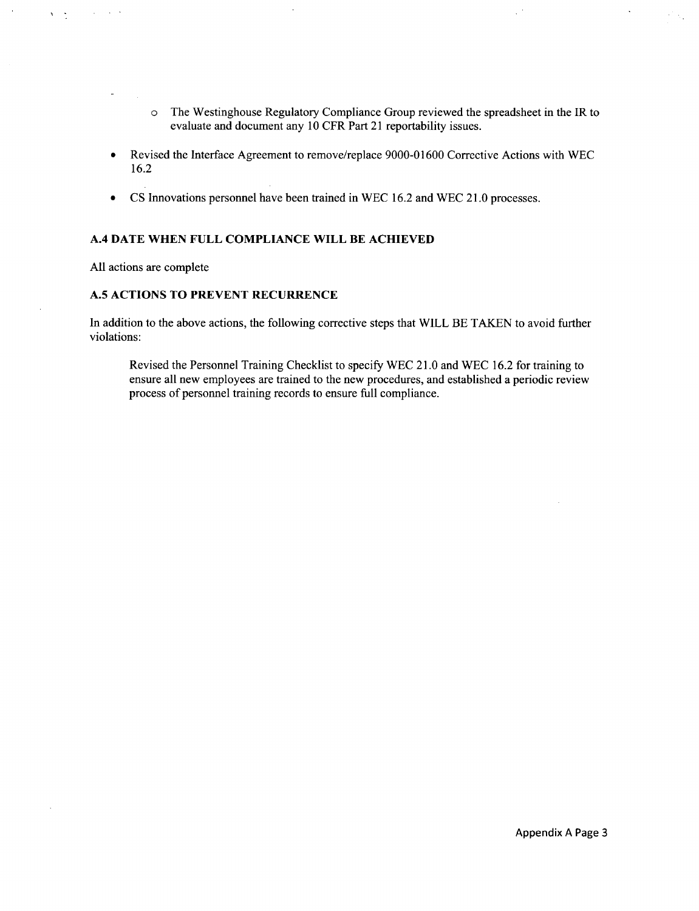- o The Westinghouse Regulatory Compliance Group reviewed the spreadsheet in the IR to evaluate and document any 10 CFR Part 21 reportability issues.
- **"** Revised the Interface Agreement to remove/replace 9000-01600 Corrective Actions with WEC 16.2
- CS Innovations personnel have been trained in WEC 16.2 and WEC 21.0 processes.

## A.4 **DATE WHEN FULL COMPLIANCE** WILL BE **ACHIEVED**

All actions are complete

 $\sim 10^{-11}$ 

 $\sim 10^{-1}$ 

 $\lambda = \frac{1}{2}$ 

# **A.5 ACTIONS** TO PREVENT RECURRENCE

In addition to the above actions, the following corrective steps that WILL BE TAKEN to avoid further violations:

Revised the Personnel Training Checklist to specify WEC 21.0 and WEC 16.2 for training to ensure all new employees are trained to the new procedures, and established a periodic review process of personnel training records to ensure full compliance.

 $\ddot{\phantom{a}}$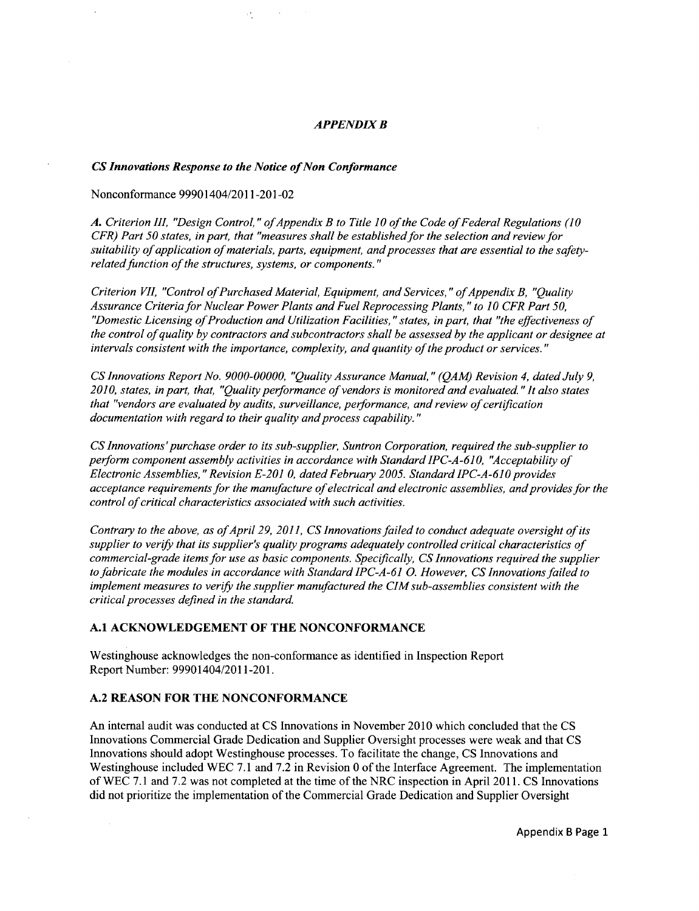#### *APPENDIX B*

#### *CS Innovations Response to the Notice of Non Conformance*

νł,

#### Nonconformance 99901404/2011-201-02

*A. Criterion I/1, "Design Control,* " *of Appendix B to Title 10 of the Code of Federal Regulations (10 CFR) Part 50 states, in part, that "measures shall be established for the selection and review for suitability of application of materials, parts, equipment, and processes that are essential to the safetyrelated function of the structures, systems, or components."*

*Criterion VII, "Control of Purchased Material, Equipment, and Services," of Appendix B, "Quality Assurance Criteria for Nuclear Power Plants and Fuel Reprocessing Plants," to 10 CFR Part 50, "Domestic Licensing of Production and Utilization Facilities, "states, in part, that "the effectiveness of the control of quality by contractors and subcontractors shall be assessed by the applicant or designee at intervals consistent with the importance, complexity, and quantity of the product or services."*

*CS Innovations Report No. 9000-00000, "Quality Assurance Manual,* " *(QAM) Revision 4, dated July 9, 2010, states, in part, that, "Quality performance of vendors is monitored and evaluated "It also states that "vendors are evaluated by audits, surveillance, performance, and review of certification documentation with regard to their quality and process capability."*

*CS Innovations'purchase order to its sub-supplier, Suntron Corporation, required the sub-supplier to perform component assembly activities in accordance with Standard IPC-A-610, "Acceptability of Electronic Assemblies, "Revision E-201 0, dated February 2005. Standard IPC-A-610 provides acceptance requirements for the manufacture of electrical and electronic assemblies, and provides for the control of critical characteristics associated with such activities.*

*Contrary to the above, as of April 29, 2011, CS Innovations failed to conduct adequate oversight of its supplier to verify that its supplier's quality programs adequately controlled critical characteristics of commercial-grade items for use as basic components. Specifically, CS Innovations required the supplier to fabricate the modules in accordance with Standard IPC-A-61 0. However, CS Innovations failed to implement measures to verify the supplier manufactured the CIM sub-assemblies consistent with the critical processes defined in the standard.*

#### **A.1 ACKNOWLEDGEMENT** OF THE **NONCONFORMANCE**

Westinghouse acknowledges the non-conformance as identified in Inspection Report Report Number: 99901404/2011-201.

### **A.2 REASON** FOR THE **NONCONFORMANCE**

An internal audit was conducted at CS Innovations in November 2010 which concluded that the CS Innovations Commercial Grade Dedication and Supplier Oversight processes were weak and that CS Innovations should adopt Westinghouse processes. To facilitate the change, CS Innovations and Westinghouse included WEC 7.1 and 7.2 in Revision 0 of the Interface Agreement. The implementation of WEC 7.1 and 7.2 was not completed at the time of the NRC inspection in April 2011. CS Innovations did not prioritize the implementation of the Commercial Grade Dedication and Supplier Oversight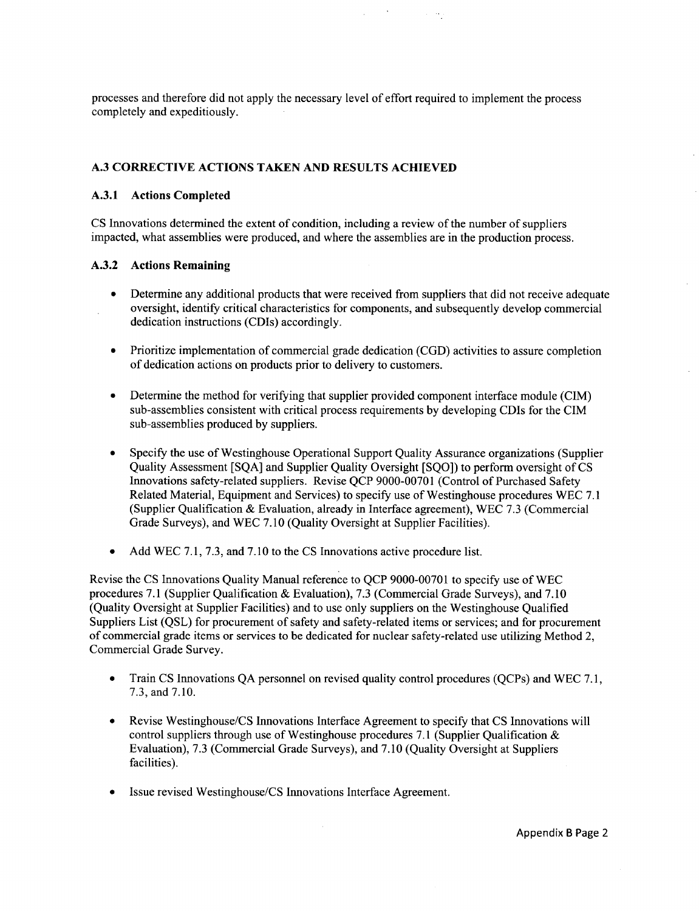processes and therefore did not apply the necessary level of effort required to implement the process completely and expeditiously.

in Ag

## **A.3** CORRECTIVE **ACTIONS TAKEN AND RESULTS ACHIEVED**

#### **A.3.1** Actions Completed

CS Innovations determined the extent of condition, including a review of the number of suppliers impacted, what assemblies were produced, and where the assemblies are in the production process.

#### A.3.2 Actions Remaining

- **"** Determine any additional products that were received from suppliers that did not receive adequate oversight, identify critical characteristics for components, and subsequently develop commercial dedication instructions (CDIs) accordingly.
- **"** Prioritize implementation of commercial grade dedication (CGD) activities to assure completion of dedication actions on products prior to delivery to customers.
- **"** Determine the method for verifying that supplier provided component interface module (CIM) sub-assemblies consistent with critical process requirements by developing CDIs for the CIM sub-assemblies produced by suppliers.
- **"** Specify the use of Westinghouse Operational Support Quality Assurance organizations (Supplier Quality Assessment [SQA] and Supplier Quality Oversight [SQO]) to perform oversight of CS Innovations safety-related suppliers. Revise QCP 9000-00701 (Control of Purchased Safety Related Material, Equipment and Services) to specify use of Westinghouse procedures WEC 7.1 (Supplier Qualification & Evaluation, already in Interface agreement), WEC 7.3 (Commercial Grade Surveys), and WEC 7.10 (Quality Oversight at Supplier Facilities).
- Add WEC 7.1, 7.3, and 7.10 to the CS Innovations active procedure list.

Revise the CS Innovations Quality Manual reference to QCP 9000-00701 to specify use of WEC procedures 7.1 (Supplier Qualification & Evaluation), 7.3 (Commercial Grade Surveys), and 7.10 (Quality Oversight at Supplier Facilities) and to use only suppliers on the Westinghouse Qualified Suppliers List (QSL) for procurement of safety and safety-related items or services; and for procurement of commercial grade items or services to be dedicated for nuclear safety-related use utilizing Method 2, Commercial Grade Survey.

- Train CS Innovations QA personnel on revised quality control procedures (QCPs) and WEC 7.1, 7.3, and 7.10.
- Revise Westinghouse/CS Innovations Interface Agreement to specify that CS Innovations will control suppliers through use of Westinghouse procedures 7.1 (Supplier Qualification  $\&$ Evaluation), 7.3 (Commercial Grade Surveys), and 7.10 (Quality Oversight at Suppliers facilities).
- \* Issue revised Westinghouse/CS Innovations Interface Agreement.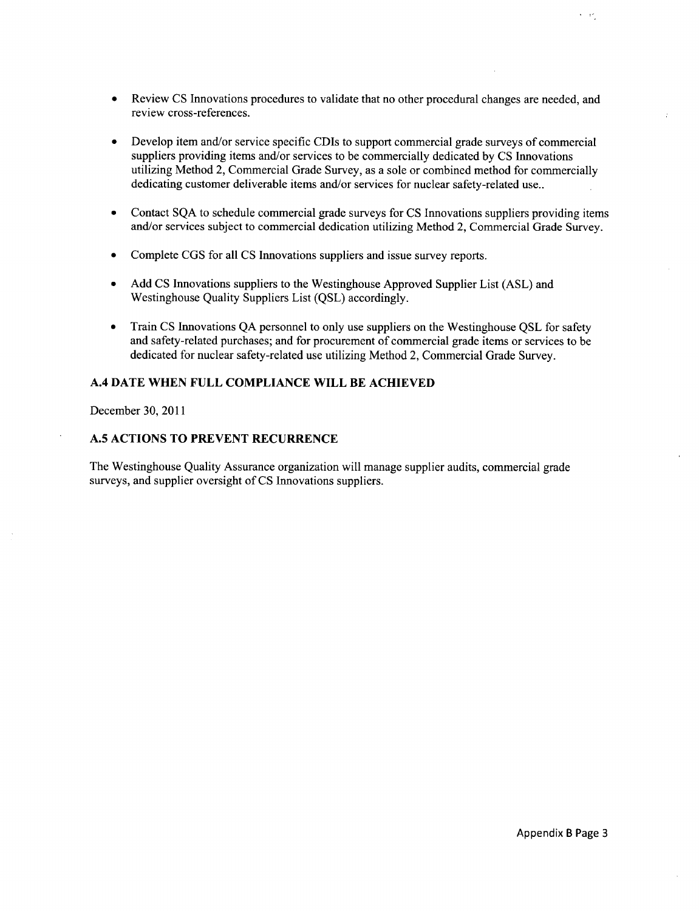- Review CS Innovations procedures to validate that no other procedural changes are needed, and review cross-references.
- Develop item and/or service specific CDIs to support commercial grade surveys of commercial suppliers providing items and/or services to be commercially dedicated **by CS** Innovations utilizing Method 2, Commercial Grade Survey, as a sole or combined method for commercially dedicating customer deliverable items and/or services for nuclear safety-related use..
- **"** Contact **SQA** to schedule commercial grade surveys for **CS** Innovations suppliers providing items and/or services subject to commercial dedication utilizing Method 2, Commercial Grade Survey.
- **"** Complete **CGS** for all **CS** Innovations suppliers and issue survey reports.
- **" Add CS** Innovations suppliers to the Westinghouse Approved Supplier List **(ASL)** and Westinghouse Quality Suppliers List **(QSL)** accordingly.
- **"** Train **CS** Innovations **QA** personnel to only use suppliers on the Westinghouse **QSL** for safety and safety-related purchases; and for procurement of commercial grade items or services to be dedicated for nuclear safety-related use utilizing Method 2, Commercial Grade Survey.

### A.4 **DATE WHEN FULL COMPLIANCE** WILL BE **ACHIEVED**

December **30,** 2011

### **A.5 ACTIONS** TO PREVENT RECURRENCE

The Westinghouse Quality Assurance organization will manage supplier audits, commercial grade surveys, and supplier oversight of **CS** Innovations suppliers.

 $\lambda = \pm \tau$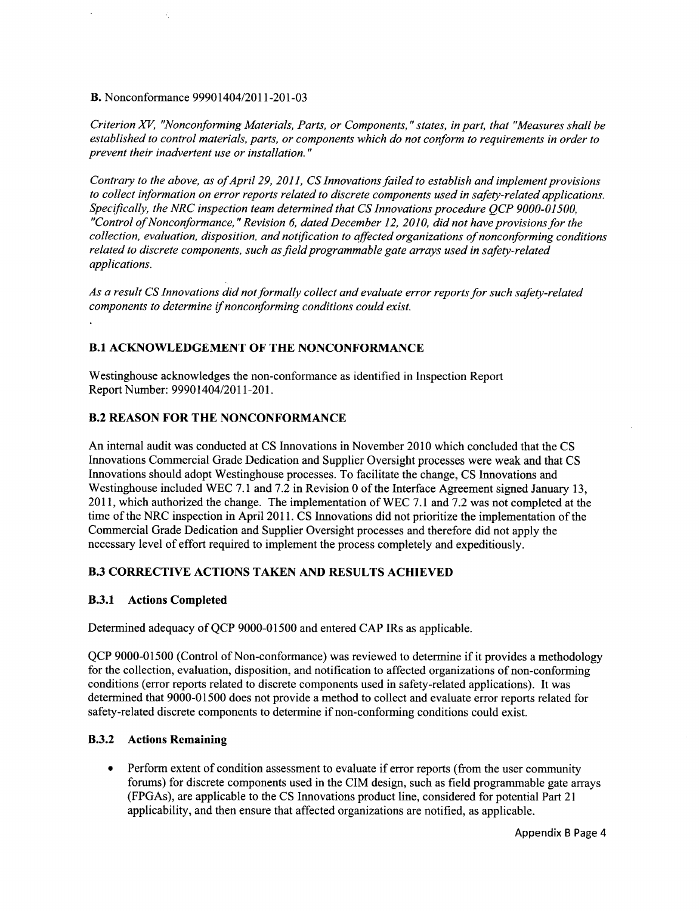## B. Nonconformance 99901404/2011-201-03

*Criterion XV, "Nonconforming Materials, Parts, or Components, "states, in part, that "Measures shall be established to control materials, parts, or components which do not conform to requirements in order to prevent their inadvertent use or installation."*

*Contrary to the above, as of April 29, 2011, CS Innovations failed to establish and implement provisions to collect information on error reports related to discrete components used in safety-related applications. Specifically, the NRC inspection team determined that CS Innovations procedure QCP 9000-01500, "Control of Nonconformance, "Revision 6, dated December 12, 2010, did not have provisionsfor the collection, evaluation, disposition, and notification to affected organizations of nonconforming conditions related to discrete components, such as field programmable gate arrays used in safety-related applications.*

*As a result CS Innovations did not formally collect and evaluate error reports for such safety-related components to determine if nonconforming conditions could exist.*

## B.1 **ACKNOWLEDGEMENT** OF THE **NONCONFORMANCE**

Westinghouse acknowledges the non-conformance as identified in Inspection Report Report Number: 99901404/2011-201.

# B.2 **REASON** FOR THE **NONCONFORMANCE**

An internal audit was conducted at CS Innovations in November 2010 which concluded that the CS Innovations Commercial Grade Dedication and Supplier Oversight processes were weak and that CS Innovations should adopt Westinghouse processes. To facilitate the change, CS Innovations and Westinghouse included WEC 7.1 and 7.2 in Revision 0 of the Interface Agreement signed January 13, 2011, which authorized the change. The implementation of WEC 7.1 and 7.2 was not completed at the time of the NRC inspection in April 2011. CS Innovations did not prioritize the implementation of the Commercial Grade Dedication and Supplier Oversight processes and therefore did not apply the necessary level of effort required to implement the process completely and expeditiously.

# B.3 CORRECTIVE **ACTIONS TAKEN AND RESULTS ACHIEVED**

### B.3.1 Actions Completed

Determined adequacy of **QCP 9000-01500** and entered **CAP** IRs as applicable.

**QCP 9000-01500** (Control of Non-conformance) was reviewed to determine if it provides a methodology for the collection, evaluation, disposition, and notification to affected organizations of non-conforming conditions (error reports related to discrete components used in safety-related applications). It was determined that 9000-01500 does not provide a method to collect and evaluate error reports related for safety-related discrete components to determine if non-conforming conditions could exist.

### B.3.2 Actions Remaining

 $\bullet$ Perform extent of condition assessment to evaluate if error reports (from the user community forums) for discrete components used in the CIM design, such as field programmable gate arrays (FPGAs), are applicable to the CS Innovations product line, considered for potential Part 21 applicability, and then ensure that affected organizations are notified, as applicable.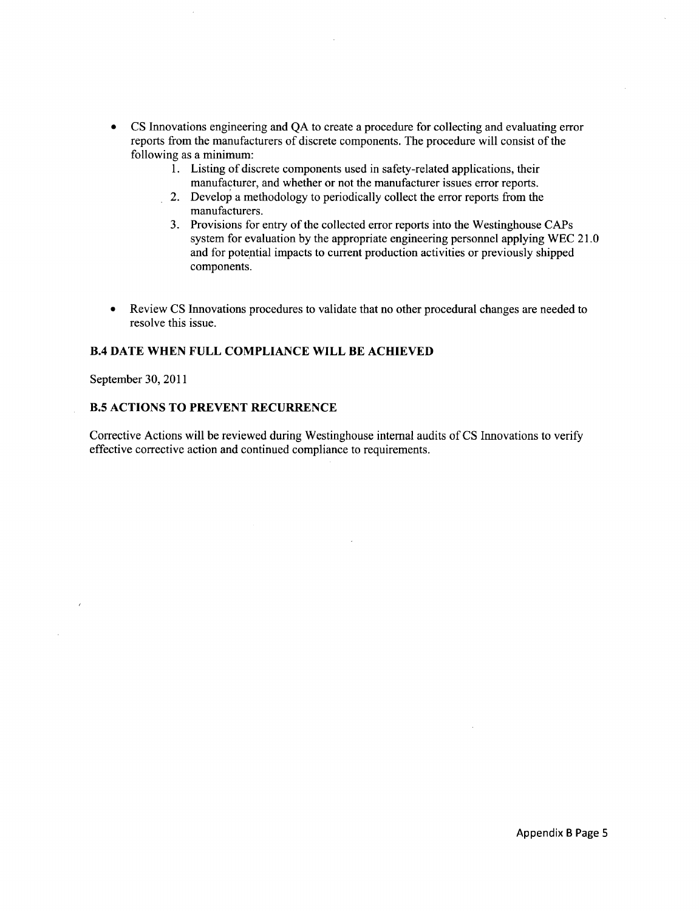- **" CS** Innovations engineering and **QA** to create a procedure for collecting and evaluating error reports from the manufacturers of discrete components. The procedure will consist of the following as a minimum:
	- 1. Listing of discrete components used in safety-related applications, their manufacturer, and whether or not the manufacturer issues error reports.
	- 2. Develop a methodology to periodically collect the error reports from the manufacturers.
	- 3. Provisions for entry of the collected error reports into the Westinghouse CAPs system for evaluation **by** the appropriate engineering personnel applying WEC 2 **1. 0** and for potential impacts to current production activities or previously shipped components.
- **"** Review **CS** Innovations procedures to validate that no other procedural changes are needed to resolve this issue.

## BA **DATE WHEN FULL COMPLIANCE** WILL BE **ACHIEVED**

September **30,** 2011

#### B.5 **ACTIONS** TO PREVENT RECURRENCE

Corrective Actions will be reviewed during Westinghouse internal audits of **CS** Innovations to verify effective corrective action and continued compliance to requirements.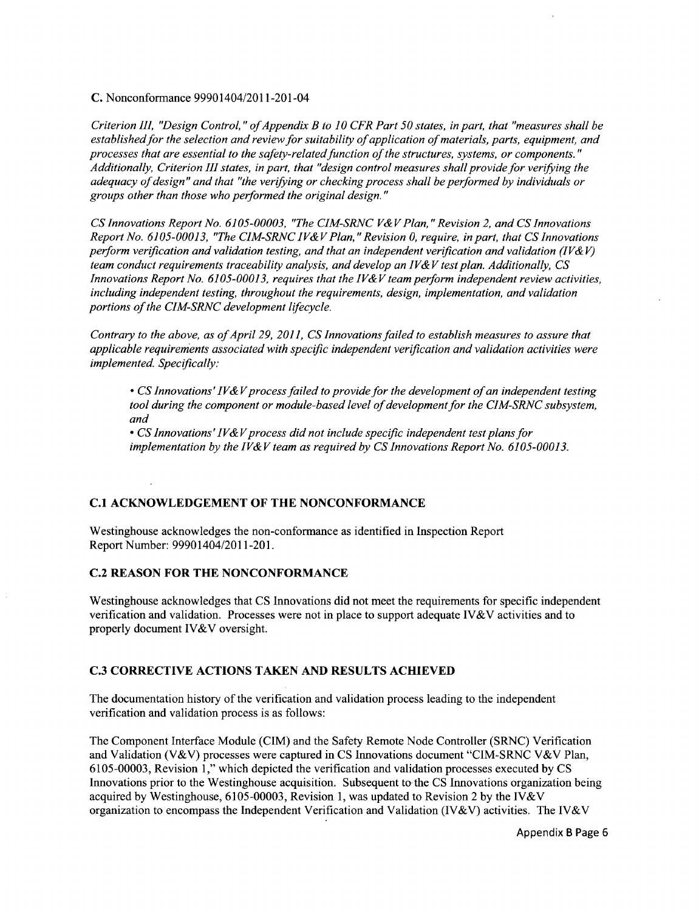C. Nonconformance 99901404/2011-201-04

*Criterion 111, "Design Control,* " *of Appendix B to 10 CFR Part 50 states, in part, that "measures shall be established for the selection and review for suitability of application of materials, parts, equipment, and processes that are essential to the safety-related function of the structures, systems, or components." Additionally, Criterion III states, in part, that "design control measures shall provide for verifying the adequacy of design" and that "the verifying or checking process shall be performed by individuals or groups other than those who performed the original design."*

*CS Innovations Report No. 6105-00003, "The CIM-SRNC V& V Plan, "Revision 2, and CS Innovations Report No. 6105-00013, "The CIM-SRNC IV& V Plan, "Revision 0, require, in part, that CS Innovations perform verification and validation testing, and that an independent verification and validation (IV& V) team conduct requirements traceability analysis, and develop an IV& V test plan. Additionally, CS Innovations Report No. 6105-00013, requires that the IV& V team perform independent review activities, including independent testing, throughout the requirements, design, implementation, and validation portions of the CIM-SRNC development lifecycle.*

*Contrary to the above, as of April 29, 2011, CS Innovations failed to establish measures to assure that applicable requirements associated with specific independent verification and validation activities were implemented. Specifically:*

• *CS Innovations' IV&V process failed to provide for the development of an independent testing tool during the component or module-based level of development for the CIM-SRNC subsystem, and*

• *CS Innovations' IV&V process did not include specific independent test plans for implementation by the IV& V team as required by CS Innovations Report No. 6105-00013.*

### **C.1 ACKNOWLEDGEMENT** OF THE **NONCONFORMANCE**

Westinghouse acknowledges the non-conformance as identified in Inspection Report Report Number: 99901404/2011-201.

#### **C.2 REASON** FOR THE **NONCONFORMANCE**

Westinghouse acknowledges that CS Innovations did not meet the requirements for specific independent verification and validation. Processes were not in place to support adequate IV&V activities and to properly document IV&V oversight.

#### **C.3** CORRECTIVE **ACTIONS TAKEN AND RESULTS ACHIEVED**

The documentation history of the verification and validation process leading to the independent verification and validation process is as follows:

The Component Interface Module (CIM) and the Safety Remote Node Controller (SRNC) Verification and Validation (V&V) processes were captured in CS Innovations document "CIM-SRNC V&V Plan, 6105-00003, Revision 1," which depicted the verification and validation processes executed by CS Innovations prior to the Westinghouse acquisition. Subsequent to the CS Innovations organization being acquired by Westinghouse, 6105-00003, Revision 1, was updated to Revision 2 by the IV&V organization to encompass the Independent Verification and Validation (IV&V) activities. The IV&V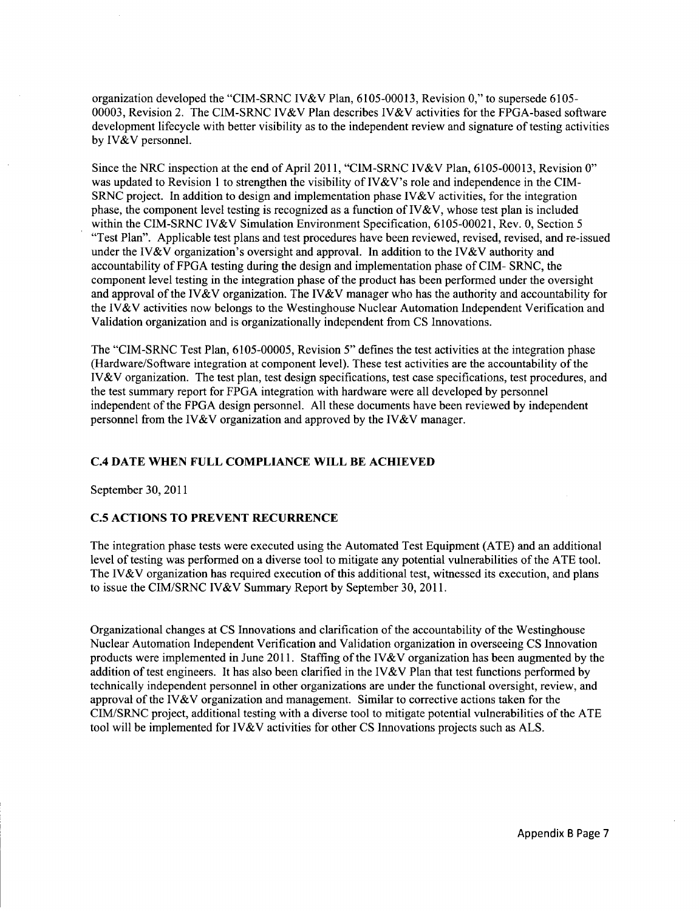organization developed the "CIM-SRNC IV&V Plan, 6105-00013, Revision 0," to supersede 6105- 00003, Revision 2. The CIM-SRNC IV&V Plan describes IV&V activities for the FPGA-based software development lifecycle with better visibility as to the independent review and signature of testing activities by IV&V personnel.

Since the NRC inspection at the end of April 2011, "CIM-SRNC IV&V Plan, 6105-00013, Revision 0" was updated to Revision 1 to strengthen the visibility of IV&V's role and independence in the CIM-SRNC project. In addition to design and implementation phase IV & V activities, for the integration phase, the component level testing is recognized as a function of  $IV&V$ , whose test plan is included within the CIM-SRNC IV&V Simulation Environment Specification, 6105-00021, Rev. 0, Section 5 "Test Plan". Applicable test plans and test procedures have been reviewed, revised, revised, and re-issued under the IV&V organization's oversight and approval. In addition to the IV&V authority and accountability of FPGA testing during the design and implementation phase of CIM- SRNC, the component level testing in the integration phase of the product has been performed under the oversight and approval of the IV&V organization. The IV&V manager who has the authority and accountability for the IV&V activities now belongs to the Westinghouse Nuclear Automation Independent Verification and Validation organization and is organizationally independent from CS Innovations.

The "CIM-SRNC Test Plan, 6105-00005, Revision 5" defines the test activities at the integration phase (Hardware/Software integration at component level). These test activities are the accountability of the IV&V organization. The test plan, test design specifications, test case specifications, test procedures, and the test summary report for FPGA integration with hardware were all developed by personnel independent of the FPGA design personnel. All these documents have been reviewed by independent personnel from the IV&V organization and approved by the IV&V manager.

### **C.4 DATE WHEN FULL COMPLIANCE** WILL BE **ACHIEVED**

September 30, 2011

## **C.5 ACTIONS** TO PREVENT RECURRENCE

The integration phase tests were executed using the Automated Test Equipment (ATE) and an additional level of testing was performed on a diverse tool to mitigate any potential vulnerabilities of the ATE tool. The IV&V organization has required execution of this additional test, witnessed its execution, and plans to issue the CIM/SRNC IV&V Summary Report by September 30, 2011.

Organizational changes at CS Innovations and clarification of the accountability of the Westinghouse Nuclear Automation Independent Verification and Validation organization in overseeing CS Innovation products were implemented in June 2011. Staffing of the IV&V organization has been augmented by the addition of test engineers. It has also been clarified in the IV&V Plan that test functions performed by technically independent personnel in other organizations are under the functional oversight, review, and approval of the IV&V organization and management. Similar to corrective actions taken for the CIM/SRNC project, additional testing with a diverse tool to mitigate potential vulnerabilities of the ATE tool will be implemented for IV&V activities for other CS Innovations projects such as ALS.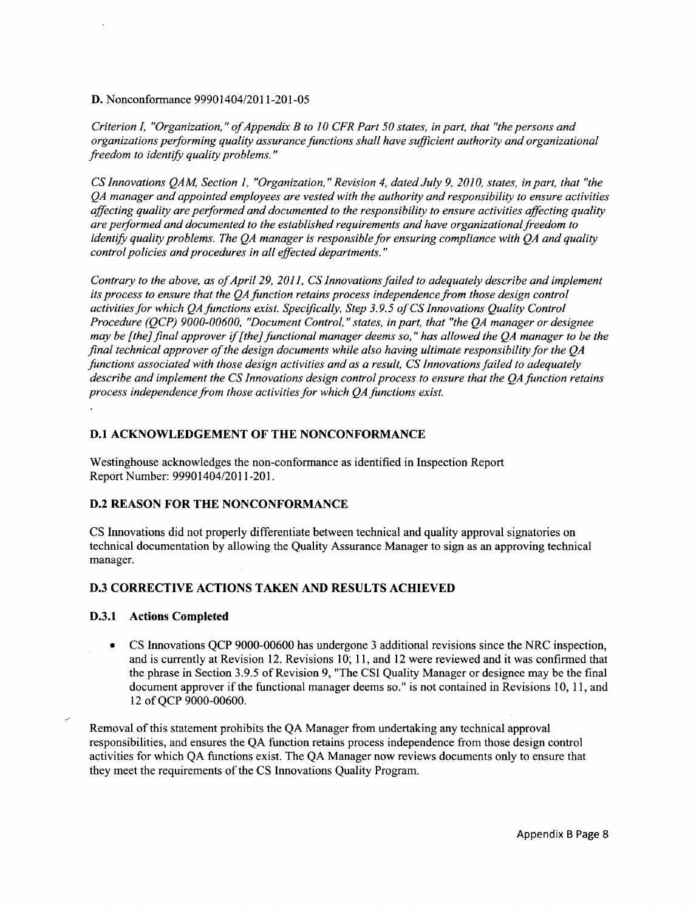D. Nonconformance 99901404/2011-201-05

*Criterion I, "Organization,* " *of Appendix B to 10 CFR Part 50 states, in part, that "the persons and organizations performing quality assurance functions shall have sufficient authority and organizational freedom to identify quality problems."*

*CS Innovations QAM, Section 1, "Organization, "Revision 4, dated July 9, 2010, states, in part, that "the QA manager and appointed employees are vested with the authority and responsibility to ensure activities affecting quality are performed and documented to the responsibility to ensure activities affecting quality are performed and documented to the established requirements and have organizationalfreedom to identify quality problems. The QA manager is responsible for ensuring compliance with QA and quality control policies and procedures in all effected departments."*

*Contrary to the above, as of April 29, 2011, CS Innovations failed to adequately describe and implement its process to ensure that the QA function retains process independence from those design control activities for which QA functions exist. Specifically, Step 3.9.5 of CS Innovations Quality Control Procedure (QCP) 9000-00600, "Document Control, "states, in part, that "the QA manager or designee may be [the] final approver if [the] functional manager deems so," has allowed the QA manager to be the final technical approver of the design documents while also having ultimate responsibility for the QA functions associated with those design activities and as a result, CS Innovations failed to adequately describe and implement the CS Innovations design control process to ensure that the QA function retains process independence from those activities for which QAfunctions exist.*

### **D.1 ACKNOWLEDGEMENT** OF THE **NONCONFORMANCE**

Westinghouse acknowledges the non-conformance as identified in Inspection Report Report Number: 99901404/2011-201.

### D.2 REASON FOR THE **NONCONFORMANCE**

CS Innovations did not properly differentiate between technical and quality approval signatories on technical documentation by allowing the Quality Assurance Manager to sign as an approving technical manager.

## **D.3** CORRECTIVE **ACTIONS TAKEN AND RESULTS ACHIEVED**

### **D.3.1** Actions Completed

CS Innovations QCP 9000-00600 has undergone 3 additional revisions since the NRC inspection,  $\bullet$ and is currently at Revision 12. Revisions 10; 11, and 12 were reviewed and it was confirmed that the phrase in Section 3.9.5 of Revision 9, "The CSI Quality Manager or designee may be the final document approver if the functional manager deems so." is not contained in Revisions 10, 11, and 12 of QCP 9000-00600.

Removal of this statement prohibits the QA Manager from undertaking any technical approval responsibilities, and ensures the QA function retains process independence from those design control activities for which QA functions exist. The QA Manager now reviews documents only to ensure that they meet the requirements of the CS Innovations Quality Program.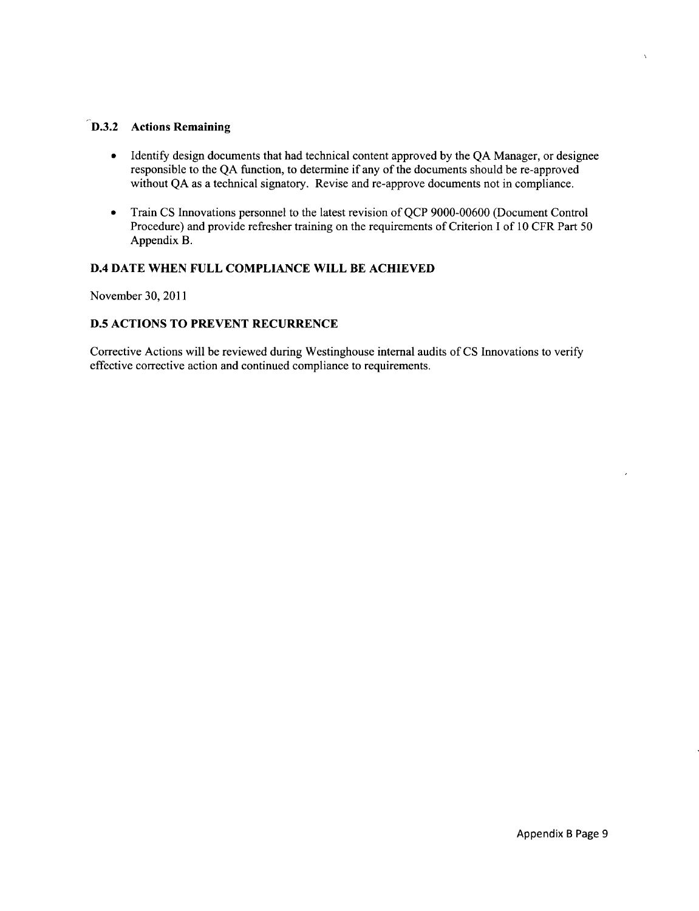# **D.3.2** Actions Remaining

- Identify design documents that had technical content approved by the QA Manager, or designee responsible to the QA function, to determine if any of the documents should be re-approved without QA as a technical signatory. Revise and re-approve documents not in compliance.
- **"** Train CS Innovations personnel to the latest revision of QCP 9000-00600 (Document Control Procedure) and provide refresher training on the requirements of Criterion I of 10 CFR Part 50 Appendix B.

## **D.4 DATE WHEN FULL COMPLIANCE** WILL BE **ACHIEVED**

November 30, 2011

# **D.5 ACTIONS** TO PREVENT RECURRENCE

Corrective Actions will be reviewed during Westinghouse internal audits of CS Innovations to verify effective corrective action and continued compliance to requirements.

 $\overline{a}$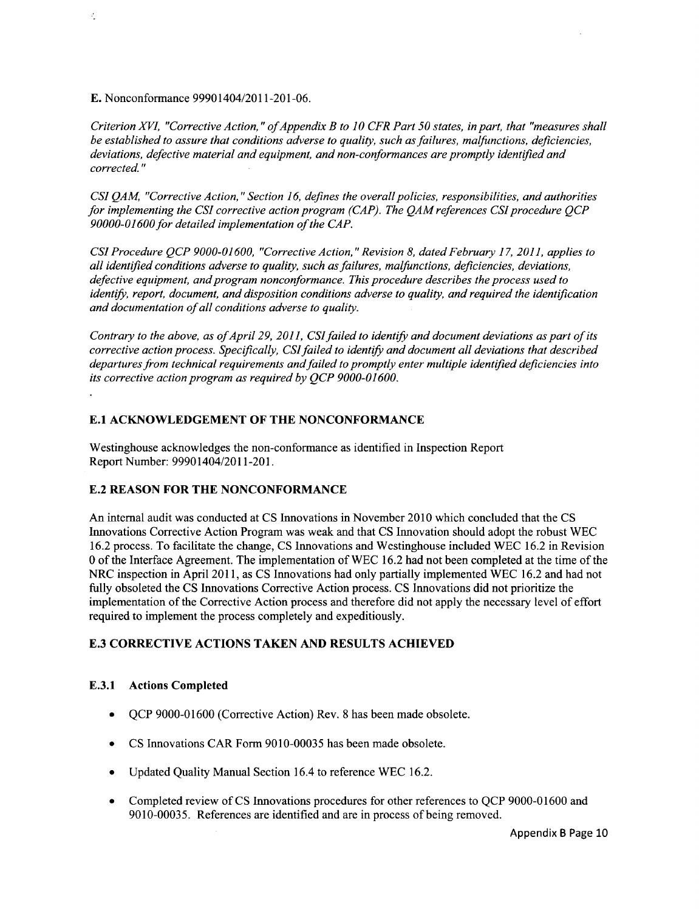E. Nonconformance 99901404/2011-201-06.

đ,

*Criterion XVI, "Corrective Action,* " *of Appendix B to 10 CFR Part 50 states, in part, that "measures shall be established to assure that conditions adverse to quality, such as failures, malfunctions, deficiencies, deviations, defective material and equipment, and non-conformances are promptly identified and corrected."*

*CSI QAM, "Corrective Action, "Section 16, defines the overall policies, responsibilities, and authorities for implementing the CSI corrective action program (CAP). The QAM references CSI procedure QCP 90000-01600 for detailed implementation of the CAP.*

*CSI Procedure QCP 9000-01600, "Corrective Action, "Revision 8, dated February 17, 2011, applies to all identified conditions adverse to quality, such as failures, malfunctions, deficiencies, deviations, defective equipment, and program nonconformance. This procedure describes the process used to identify, report, document, and disposition conditions adverse to quality, and required the identification and documentation of all conditions adverse to quality.*

*Contrary to the above, as of April 29, 2011, CSI failed to identify and document deviations as part of its corrective action process. Specifically, CSI failed to identify and document all deviations that described departures from technical requirements and failed to promptly enter multiple identified deficiencies into its corrective action program as required by QCP 9000-01600.*

### **E.1 ACKNOWLEDGEMENT** OF THE **NONCONFORMANCE**

Westinghouse acknowledges the non-conformance as identified in Inspection Report Report Number: 99901404/2011-201.

### **E.2 REASON** FOR THE **NONCONFORMANCE**

An internal audit was conducted at CS Innovations in November 2010 which concluded that the CS Innovations Corrective Action Program was weak and that CS Innovation should adopt the robust WEC 16.2 process. To facilitate the change, CS Innovations and Westinghouse included WEC 16.2 in Revision 0 of the Interface Agreement. The implementation of WEC 16.2 had not been completed at the time of the NRC inspection in April 2011, as CS Innovations had only partially implemented WEC 16.2 and had not fully obsoleted the CS Innovations Corrective Action process. CS Innovations did not prioritize the implementation of the Corrective Action process and therefore did not apply the necessary level of effort required to implement the process completely and expeditiously.

### E.3 CORRECTIVE **ACTIONS TAKEN AND RESULTS ACHIEVED**

## E.3.1 Actions Completed

- **"** QCP 9000-01600 (Corrective Action) Rev. 8 has been made obsolete.
- **"** CS Innovations CAR Form 9010-00035 has been made obsolete.
- **"** Updated Quality Manual Section 16.4 to reference WEC 16.2.
- **"** Completed review of CS Innovations procedures for other references to QCP 9000-01600 and 9010-00035. References are identified and are in process of being removed.